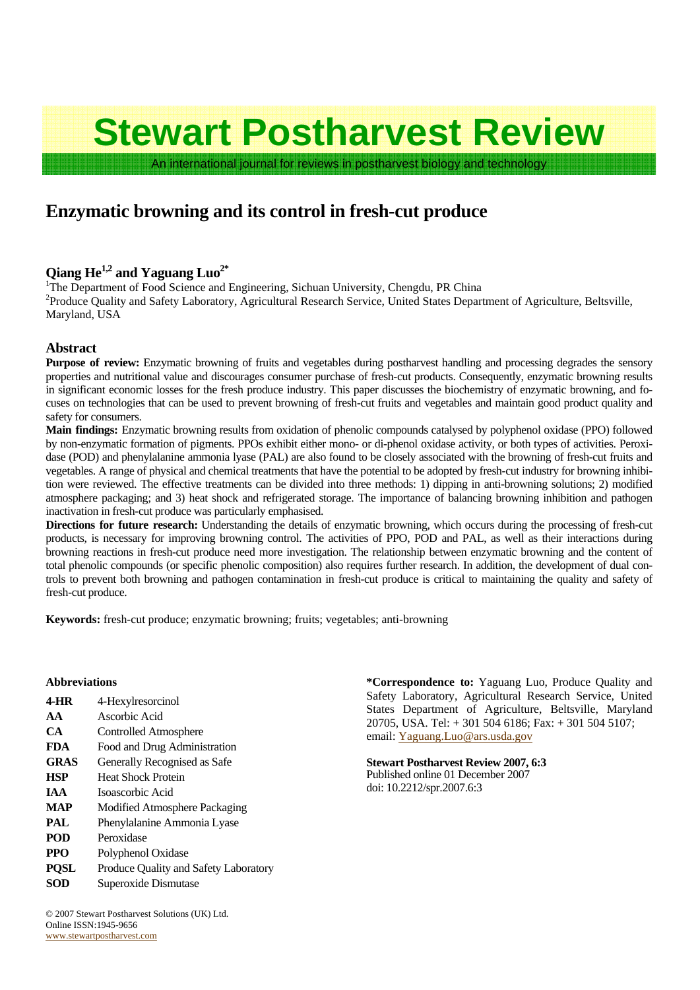# **Stewart Postharvest Review**

An international journal for reviews in postharvest biology and technology

## **Enzymatic browning and its control in fresh-cut produce**

### **Qiang He1,2 and Yaguang Luo2\***

<sup>1</sup>The Department of Food Science and Engineering, Sichuan University, Chengdu, PR China <sup>2</sup> Broduce Quality and Sefety Laboratory, A gricultural Bessex Service, United States Depart <sup>2</sup>Produce Quality and Safety Laboratory, Agricultural Research Service, United States Department of Agriculture, Beltsville, Maryland, USA

#### **Abstract**

**Purpose of review:** Enzymatic browning of fruits and vegetables during postharvest handling and processing degrades the sensory properties and nutritional value and discourages consumer purchase of fresh-cut products. Consequently, enzymatic browning results in significant economic losses for the fresh produce industry. This paper discusses the biochemistry of enzymatic browning, and focuses on technologies that can be used to prevent browning of fresh-cut fruits and vegetables and maintain good product quality and safety for consumers.

**Main findings:** Enzymatic browning results from oxidation of phenolic compounds catalysed by polyphenol oxidase (PPO) followed by non-enzymatic formation of pigments. PPOs exhibit either mono- or di-phenol oxidase activity, or both types of activities. Peroxidase (POD) and phenylalanine ammonia lyase (PAL) are also found to be closely associated with the browning of fresh-cut fruits and vegetables. A range of physical and chemical treatments that have the potential to be adopted by fresh-cut industry for browning inhibition were reviewed. The effective treatments can be divided into three methods: 1) dipping in anti-browning solutions; 2) modified atmosphere packaging; and 3) heat shock and refrigerated storage. The importance of balancing browning inhibition and pathogen inactivation in fresh-cut produce was particularly emphasised.

**Directions for future research:** Understanding the details of enzymatic browning, which occurs during the processing of fresh-cut products, is necessary for improving browning control. The activities of PPO, POD and PAL, as well as their interactions during browning reactions in fresh-cut produce need more investigation. The relationship between enzymatic browning and the content of total phenolic compounds (or specific phenolic composition) also requires further research. In addition, the development of dual controls to prevent both browning and pathogen contamination in fresh-cut produce is critical to maintaining the quality and safety of fresh-cut produce.

**Keywords:** fresh-cut produce; enzymatic browning; fruits; vegetables; anti-browning

| 4-Hexylresorcinol                     |
|---------------------------------------|
| Ascorbic Acid                         |
| Controlled Atmosphere                 |
| Food and Drug Administration          |
| Generally Recognised as Safe          |
| <b>Heat Shock Protein</b>             |
| Isoascorbic Acid                      |
| Modified Atmosphere Packaging         |
| Phenylalanine Ammonia Lyase           |
| Peroxidase                            |
| Polyphenol Oxidase                    |
| Produce Quality and Safety Laboratory |
| Superoxide Dismutase                  |
|                                       |

**Abbreviations \*Correspondence to:** Yaguang Luo, Produce Quality and Safety Laboratory, Agricultural Research Service, United States Department of Agriculture, Beltsville, Maryland 20705, USA. Tel: + 301 504 6186; Fax: + 301 504 5107; email: Yaguang.Luo@ars.usda.gov

> **Stewart Postharvest Review 2007, 6:3**  Published online 01 December 2007 doi: 10.2212/spr.2007.6:3

© 2007 Stewart Postharvest Solutions (UK) Ltd. Online ISSN:1945-9656 www.stewartpostharvest.com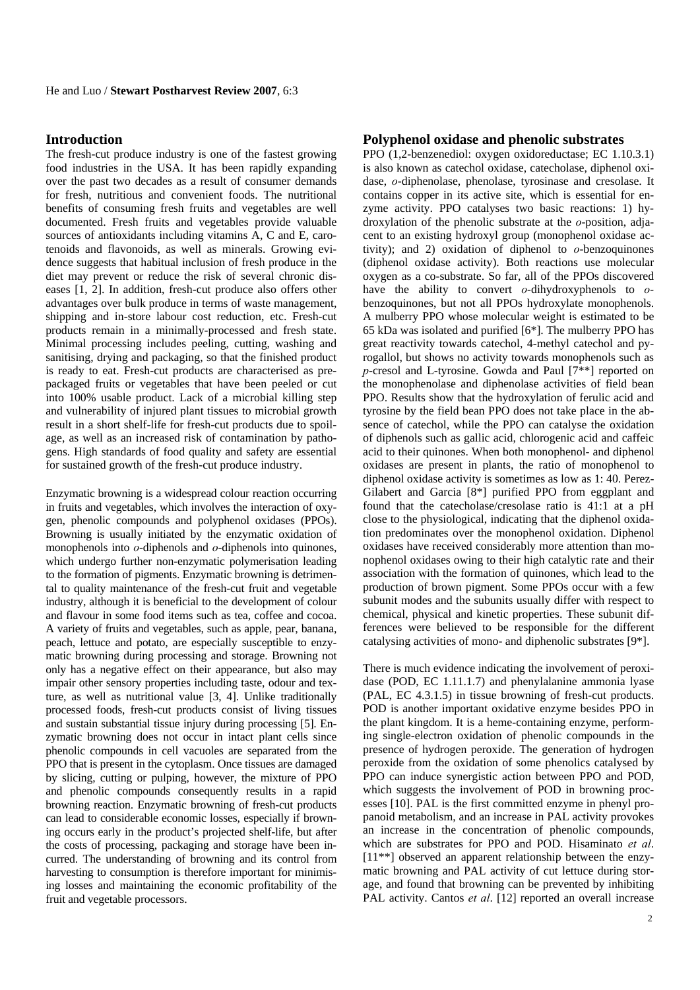#### **Introduction**

The fresh-cut produce industry is one of the fastest growing food industries in the USA. It has been rapidly expanding over the past two decades as a result of consumer demands for fresh, nutritious and convenient foods. The nutritional benefits of consuming fresh fruits and vegetables are well documented. Fresh fruits and vegetables provide valuable sources of antioxidants including vitamins A, C and E, carotenoids and flavonoids, as well as minerals. Growing evidence suggests that habitual inclusion of fresh produce in the diet may prevent or reduce the risk of several chronic diseases [1, 2]. In addition, fresh-cut produce also offers other advantages over bulk produce in terms of waste management, shipping and in-store labour cost reduction, etc. Fresh-cut products remain in a minimally-processed and fresh state. Minimal processing includes peeling, cutting, washing and sanitising, drying and packaging, so that the finished product is ready to eat. Fresh-cut products are characterised as prepackaged fruits or vegetables that have been peeled or cut into 100% usable product. Lack of a microbial killing step and vulnerability of injured plant tissues to microbial growth result in a short shelf-life for fresh-cut products due to spoilage, as well as an increased risk of contamination by pathogens. High standards of food quality and safety are essential for sustained growth of the fresh-cut produce industry.

Enzymatic browning is a widespread colour reaction occurring in fruits and vegetables, which involves the interaction of oxygen, phenolic compounds and polyphenol oxidases (PPOs). Browning is usually initiated by the enzymatic oxidation of monophenols into *ο*-diphenols and *ο*-diphenols into quinones, which undergo further non-enzymatic polymerisation leading to the formation of pigments. Enzymatic browning is detrimental to quality maintenance of the fresh-cut fruit and vegetable industry, although it is beneficial to the development of colour and flavour in some food items such as tea, coffee and cocoa. A variety of fruits and vegetables, such as apple, pear, banana, peach, lettuce and potato, are especially susceptible to enzymatic browning during processing and storage. Browning not only has a negative effect on their appearance, but also may impair other sensory properties including taste, odour and texture, as well as nutritional value [3, 4]. Unlike traditionally processed foods, fresh-cut products consist of living tissues and sustain substantial tissue injury during processing [5]. Enzymatic browning does not occur in intact plant cells since phenolic compounds in cell vacuoles are separated from the PPO that is present in the cytoplasm. Once tissues are damaged by slicing, cutting or pulping, however, the mixture of PPO and phenolic compounds consequently results in a rapid browning reaction. Enzymatic browning of fresh-cut products can lead to considerable economic losses, especially if browning occurs early in the product's projected shelf-life, but after the costs of processing, packaging and storage have been incurred. The understanding of browning and its control from harvesting to consumption is therefore important for minimising losses and maintaining the economic profitability of the fruit and vegetable processors.

#### **Polyphenol oxidase and phenolic substrates**

PPO (1,2-benzenediol: oxygen oxidoreductase; EC 1.10.3.1) is also known as catechol oxidase, catecholase, diphenol oxidase, *o*-diphenolase, phenolase, tyrosinase and cresolase. It contains copper in its active site, which is essential for enzyme activity. PPO catalyses two basic reactions: 1) hydroxylation of the phenolic substrate at the *o*-position, adjacent to an existing hydroxyl group (monophenol oxidase activity); and 2) oxidation of diphenol to *o*-benzoquinones (diphenol oxidase activity). Both reactions use molecular oxygen as a co-substrate. So far, all of the PPOs discovered have the ability to convert *o-*dihydroxyphenols to *o*benzoquinones, but not all PPOs hydroxylate monophenols. A mulberry PPO whose molecular weight is estimated to be 65 kDa was isolated and purified [6\*]. The mulberry PPO has great reactivity towards catechol, 4-methyl catechol and pyrogallol, but shows no activity towards monophenols such as *p*-cresol and L-tyrosine. Gowda and Paul [7\*\*] reported on the monophenolase and diphenolase activities of field bean PPO. Results show that the hydroxylation of ferulic acid and tyrosine by the field bean PPO does not take place in the absence of catechol, while the PPO can catalyse the oxidation of diphenols such as gallic acid, chlorogenic acid and caffeic acid to their quinones. When both monophenol- and diphenol oxidases are present in plants, the ratio of monophenol to diphenol oxidase activity is sometimes as low as 1: 40. Perez-Gilabert and Garcia [8\*] purified PPO from eggplant and found that the catecholase/cresolase ratio is 41:1 at a pH close to the physiological, indicating that the diphenol oxidation predominates over the monophenol oxidation. Diphenol oxidases have received considerably more attention than monophenol oxidases owing to their high catalytic rate and their association with the formation of quinones, which lead to the production of brown pigment. Some PPOs occur with a few subunit modes and the subunits usually differ with respect to chemical, physical and kinetic properties. These subunit differences were believed to be responsible for the different catalysing activities of mono- and diphenolic substrates [9\*].

There is much evidence indicating the involvement of peroxidase (POD, EC 1.11.1.7) and phenylalanine ammonia lyase (PAL, EC 4.3.1.5) in tissue browning of fresh-cut products. POD is another important oxidative enzyme besides PPO in the plant kingdom. It is a heme-containing enzyme, performing single-electron oxidation of phenolic compounds in the presence of hydrogen peroxide. The generation of hydrogen peroxide from the oxidation of some phenolics catalysed by PPO can induce synergistic action between PPO and POD, which suggests the involvement of POD in browning processes [10]. PAL is the first committed enzyme in phenyl propanoid metabolism, and an increase in PAL activity provokes an increase in the concentration of phenolic compounds, which are substrates for PPO and POD. Hisaminato *et al*. [11<sup>\*\*</sup>] observed an apparent relationship between the enzymatic browning and PAL activity of cut lettuce during storage, and found that browning can be prevented by inhibiting PAL activity. Cantos *et al.* [12] reported an overall increase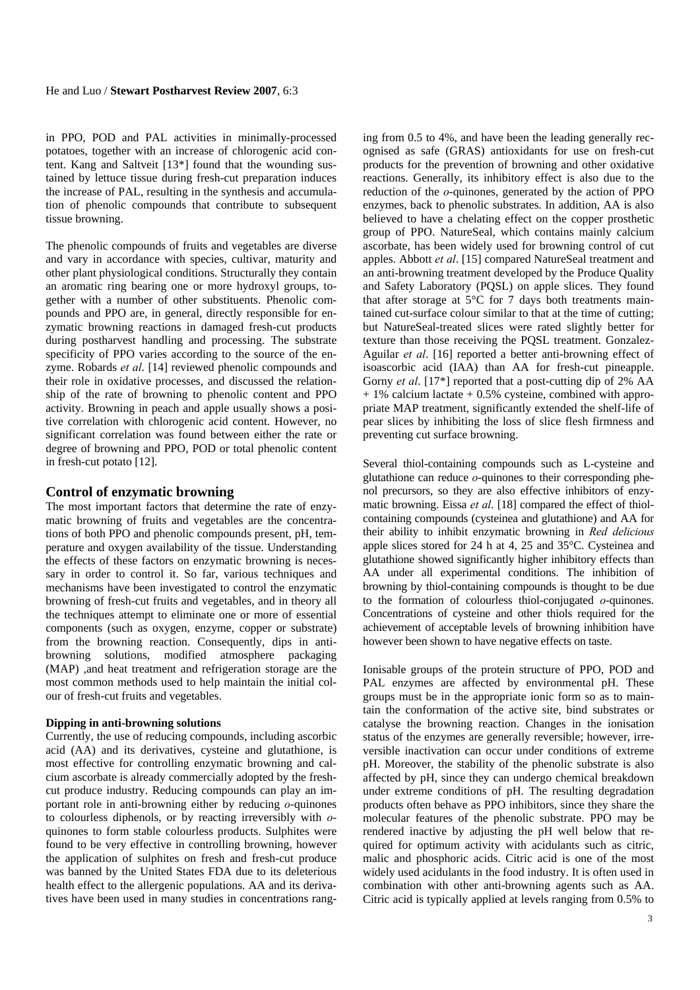in PPO, POD and PAL activities in minimally-processed potatoes, together with an increase of chlorogenic acid content. Kang and Saltveit [13\*] found that the wounding sustained by lettuce tissue during fresh-cut preparation induces the increase of PAL, resulting in the synthesis and accumulation of phenolic compounds that contribute to subsequent tissue browning.

The phenolic compounds of fruits and vegetables are diverse and vary in accordance with species, cultivar, maturity and other plant physiological conditions. Structurally they contain an aromatic ring bearing one or more hydroxyl groups, together with a number of other substituents. Phenolic compounds and PPO are, in general, directly responsible for enzymatic browning reactions in damaged fresh-cut products during postharvest handling and processing. The substrate specificity of PPO varies according to the source of the enzyme. Robards *et al*. [14] reviewed phenolic compounds and their role in oxidative processes, and discussed the relationship of the rate of browning to phenolic content and PPO activity. Browning in peach and apple usually shows a positive correlation with chlorogenic acid content. However, no significant correlation was found between either the rate or degree of browning and PPO, POD or total phenolic content in fresh-cut potato [12].

#### **Control of enzymatic browning**

The most important factors that determine the rate of enzymatic browning of fruits and vegetables are the concentrations of both PPO and phenolic compounds present, pH, temperature and oxygen availability of the tissue. Understanding the effects of these factors on enzymatic browning is necessary in order to control it. So far, various techniques and mechanisms have been investigated to control the enzymatic browning of fresh-cut fruits and vegetables, and in theory all the techniques attempt to eliminate one or more of essential components (such as oxygen, enzyme, copper or substrate) from the browning reaction. Consequently, dips in antibrowning solutions, modified atmosphere packaging (MAP) ,and heat treatment and refrigeration storage are the most common methods used to help maintain the initial colour of fresh-cut fruits and vegetables.

#### **Dipping in anti-browning solutions**

Currently, the use of reducing compounds, including ascorbic acid (AA) and its derivatives, cysteine and glutathione, is most effective for controlling enzymatic browning and calcium ascorbate is already commercially adopted by the freshcut produce industry. Reducing compounds can play an important role in anti-browning either by reducing *o*-quinones to colourless diphenols, or by reacting irreversibly with *o*quinones to form stable colourless products. Sulphites were found to be very effective in controlling browning, however the application of sulphites on fresh and fresh-cut produce was banned by the United States FDA due to its deleterious health effect to the allergenic populations. AA and its derivatives have been used in many studies in concentrations ranging from 0.5 to 4%, and have been the leading generally recognised as safe (GRAS) antioxidants for use on fresh-cut products for the prevention of browning and other oxidative reactions. Generally, its inhibitory effect is also due to the reduction of the *o*-quinones, generated by the action of PPO enzymes, back to phenolic substrates. In addition, AA is also believed to have a chelating effect on the copper prosthetic group of PPO. NatureSeal, which contains mainly calcium ascorbate, has been widely used for browning control of cut apples. Abbott *et al*. [15] compared NatureSeal treatment and an anti-browning treatment developed by the Produce Quality and Safety Laboratory (PQSL) on apple slices. They found that after storage at 5°C for 7 days both treatments maintained cut-surface colour similar to that at the time of cutting; but NatureSeal-treated slices were rated slightly better for texture than those receiving the PQSL treatment. Gonzalez-Aguilar *et al*. [16] reported a better anti-browning effect of isoascorbic acid (IAA) than AA for fresh-cut pineapple. Gorny *et al*. [17\*] reported that a post-cutting dip of 2% AA  $+ 1\%$  calcium lactate  $+ 0.5\%$  cysteine, combined with appropriate MAP treatment, significantly extended the shelf-life of pear slices by inhibiting the loss of slice flesh firmness and preventing cut surface browning.

Several thiol-containing compounds such as L-cysteine and glutathione can reduce *o*-quinones to their corresponding phenol precursors, so they are also effective inhibitors of enzymatic browning. Eissa *et al*. [18] compared the effect of thiolcontaining compounds (cysteinea and glutathione) and AA for their ability to inhibit enzymatic browning in *Red delicious* apple slices stored for 24 h at 4, 25 and 35°C. Cysteinea and glutathione showed significantly higher inhibitory effects than AA under all experimental conditions. The inhibition of browning by thiol-containing compounds is thought to be due to the formation of colourless thiol-conjugated *o*-quinones. Concentrations of cysteine and other thiols required for the achievement of acceptable levels of browning inhibition have however been shown to have negative effects on taste.

Ionisable groups of the protein structure of PPO, POD and PAL enzymes are affected by environmental pH. These groups must be in the appropriate ionic form so as to maintain the conformation of the active site, bind substrates or catalyse the browning reaction. Changes in the ionisation status of the enzymes are generally reversible; however, irreversible inactivation can occur under conditions of extreme pH. Moreover, the stability of the phenolic substrate is also affected by pH, since they can undergo chemical breakdown under extreme conditions of pH. The resulting degradation products often behave as PPO inhibitors, since they share the molecular features of the phenolic substrate. PPO may be rendered inactive by adjusting the pH well below that required for optimum activity with acidulants such as citric, malic and phosphoric acids. Citric acid is one of the most widely used acidulants in the food industry. It is often used in combination with other anti-browning agents such as AA. Citric acid is typically applied at levels ranging from 0.5% to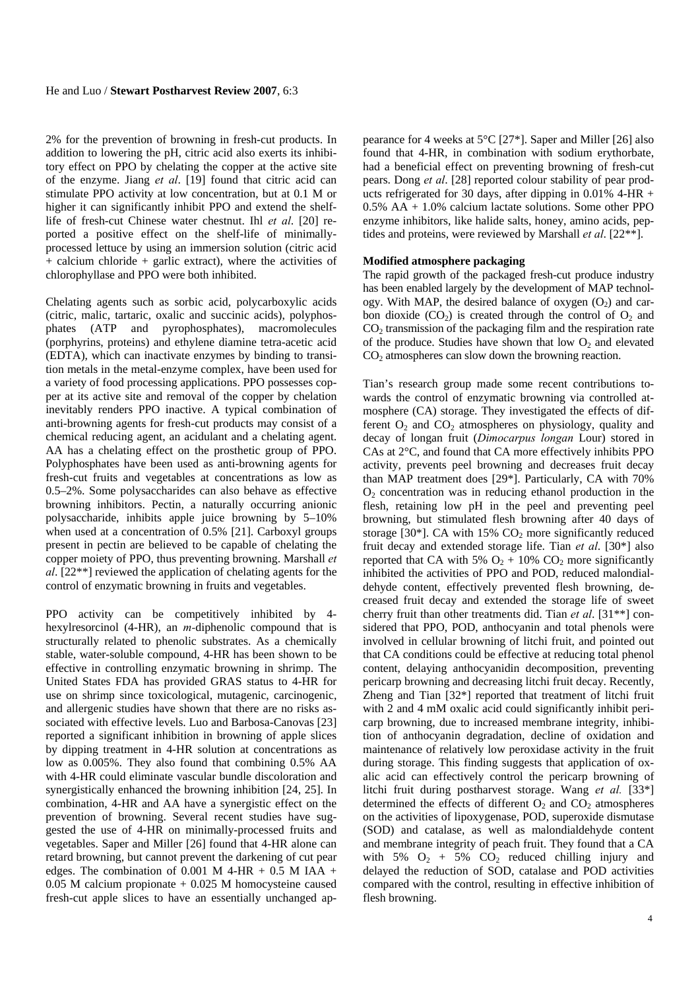2% for the prevention of browning in fresh-cut products. In addition to lowering the pH, citric acid also exerts its inhibitory effect on PPO by chelating the copper at the active site of the enzyme. Jiang *et al*. [19] found that citric acid can stimulate PPO activity at low concentration, but at 0.1 M or higher it can significantly inhibit PPO and extend the shelflife of fresh-cut Chinese water chestnut. Ihl *et al*. [20] reported a positive effect on the shelf-life of minimallyprocessed lettuce by using an immersion solution (citric acid  $+$  calcium chloride  $+$  garlic extract), where the activities of chlorophyllase and PPO were both inhibited.

Chelating agents such as sorbic acid, polycarboxylic acids (citric, malic, tartaric, oxalic and succinic acids), polyphosphates (ATP and pyrophosphates), macromolecules (porphyrins, proteins) and ethylene diamine tetra-acetic acid (EDTA), which can inactivate enzymes by binding to transition metals in the metal-enzyme complex, have been used for a variety of food processing applications. PPO possesses copper at its active site and removal of the copper by chelation inevitably renders PPO inactive. A typical combination of anti-browning agents for fresh-cut products may consist of a chemical reducing agent, an acidulant and a chelating agent. AA has a chelating effect on the prosthetic group of PPO. Polyphosphates have been used as anti-browning agents for fresh-cut fruits and vegetables at concentrations as low as 0.5–2%. Some polysaccharides can also behave as effective browning inhibitors. Pectin, a naturally occurring anionic polysaccharide, inhibits apple juice browning by 5–10% when used at a concentration of 0.5% [21]. Carboxyl groups present in pectin are believed to be capable of chelating the copper moiety of PPO, thus preventing browning. Marshall *et al*. [22\*\*] reviewed the application of chelating agents for the control of enzymatic browning in fruits and vegetables.

PPO activity can be competitively inhibited by 4 hexylresorcinol (4-HR), an *m-*diphenolic compound that is structurally related to phenolic substrates. As a chemically stable, water-soluble compound, 4-HR has been shown to be effective in controlling enzymatic browning in shrimp. The United States FDA has provided GRAS status to 4-HR for use on shrimp since toxicological, mutagenic, carcinogenic, and allergenic studies have shown that there are no risks associated with effective levels. Luo and Barbosa-Canovas [23] reported a significant inhibition in browning of apple slices by dipping treatment in 4-HR solution at concentrations as low as 0.005%. They also found that combining 0.5% AA with 4-HR could eliminate vascular bundle discoloration and synergistically enhanced the browning inhibition [24, 25]. In combination, 4-HR and AA have a synergistic effect on the prevention of browning. Several recent studies have suggested the use of 4-HR on minimally-processed fruits and vegetables. Saper and Miller [26] found that 4-HR alone can retard browning, but cannot prevent the darkening of cut pear edges. The combination of  $0.001$  M 4-HR +  $0.5$  M IAA +  $0.05$  M calcium propionate  $+0.025$  M homocysteine caused fresh-cut apple slices to have an essentially unchanged appearance for 4 weeks at 5°C [27\*]. Saper and Miller [26] also found that 4-HR, in combination with sodium erythorbate, had a beneficial effect on preventing browning of fresh-cut pears. Dong *et al*. [28] reported colour stability of pear products refrigerated for 30 days, after dipping in 0.01% 4-HR + 0.5% AA + 1.0% calcium lactate solutions. Some other PPO enzyme inhibitors, like halide salts, honey, amino acids, peptides and proteins, were reviewed by Marshall *et al*. [22\*\*].

#### **Modified atmosphere packaging**

The rapid growth of the packaged fresh-cut produce industry has been enabled largely by the development of MAP technology. With MAP, the desired balance of oxygen  $(O_2)$  and carbon dioxide  $(CO_2)$  is created through the control of  $O_2$  and  $CO<sub>2</sub>$  transmission of the packaging film and the respiration rate of the produce. Studies have shown that low  $O_2$  and elevated  $CO<sub>2</sub>$  atmospheres can slow down the browning reaction.

Tian's research group made some recent contributions towards the control of enzymatic browning via controlled atmosphere (CA) storage. They investigated the effects of different  $O_2$  and  $CO_2$  atmospheres on physiology, quality and decay of longan fruit (*Dimocarpus longan* Lour) stored in CAs at 2°C, and found that CA more effectively inhibits PPO activity, prevents peel browning and decreases fruit decay than MAP treatment does [29\*]. Particularly, CA with 70%  $O<sub>2</sub>$  concentration was in reducing ethanol production in the flesh, retaining low pH in the peel and preventing peel browning, but stimulated flesh browning after 40 days of storage [30\*]. CA with  $15\%$  CO<sub>2</sub> more significantly reduced fruit decay and extended storage life. Tian *et al*. [30\*] also reported that CA with 5%  $O_2$  + 10% CO<sub>2</sub> more significantly inhibited the activities of PPO and POD, reduced malondialdehyde content, effectively prevented flesh browning, decreased fruit decay and extended the storage life of sweet cherry fruit than other treatments did. Tian *et al*. [31\*\*] considered that PPO, POD, anthocyanin and total phenols were involved in cellular browning of litchi fruit, and pointed out that CA conditions could be effective at reducing total phenol content, delaying anthocyanidin decomposition, preventing pericarp browning and decreasing litchi fruit decay. Recently, Zheng and Tian [32\*] reported that treatment of litchi fruit with 2 and 4 mM oxalic acid could significantly inhibit pericarp browning, due to increased membrane integrity, inhibition of anthocyanin degradation, decline of oxidation and maintenance of relatively low peroxidase activity in the fruit during storage. This finding suggests that application of oxalic acid can effectively control the pericarp browning of litchi fruit during postharvest storage. Wang *et al.* [33\*] determined the effects of different  $O_2$  and  $CO_2$  atmospheres on the activities of lipoxygenase, POD, superoxide dismutase (SOD) and catalase, as well as malondialdehyde content and membrane integrity of peach fruit. They found that a CA with 5%  $O_2$  + 5%  $CO_2$  reduced chilling injury and delayed the reduction of SOD, catalase and POD activities compared with the control, resulting in effective inhibition of flesh browning.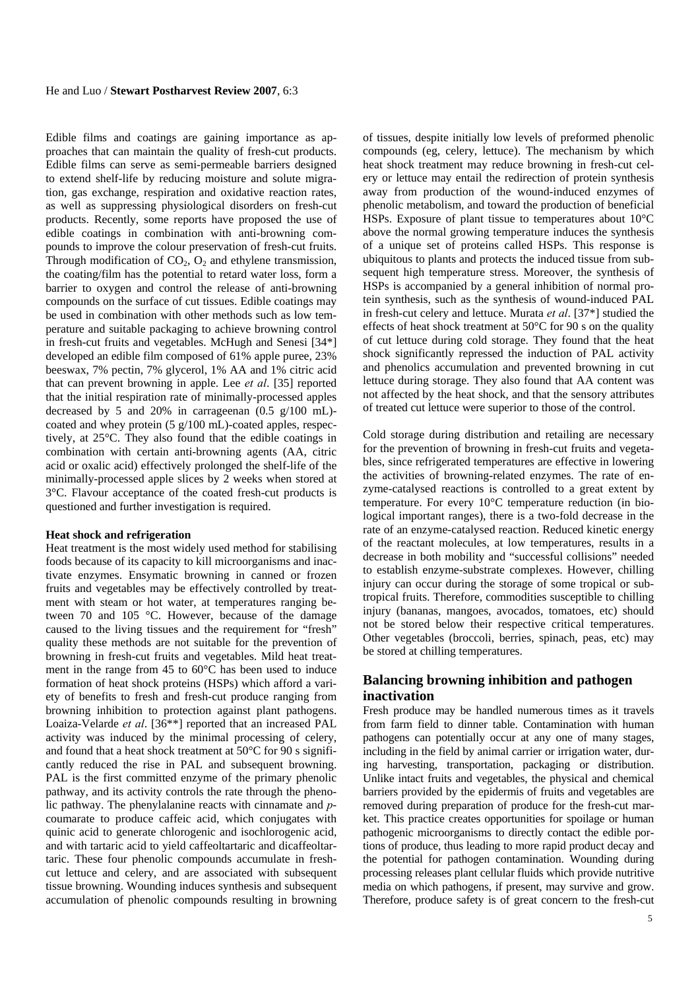#### He and Luo / **Stewart Postharvest Review 2007**, 6:3

Edible films and coatings are gaining importance as approaches that can maintain the quality of fresh-cut products. Edible films can serve as semi-permeable barriers designed to extend shelf-life by reducing moisture and solute migration, gas exchange, respiration and oxidative reaction rates, as well as suppressing physiological disorders on fresh-cut products. Recently, some reports have proposed the use of edible coatings in combination with anti-browning compounds to improve the colour preservation of fresh-cut fruits. Through modification of  $CO<sub>2</sub>$ ,  $O<sub>2</sub>$  and ethylene transmission, the coating/film has the potential to retard water loss, form a barrier to oxygen and control the release of anti-browning compounds on the surface of cut tissues. Edible coatings may be used in combination with other methods such as low temperature and suitable packaging to achieve browning control in fresh-cut fruits and vegetables. McHugh and Senesi [34\*] developed an edible film composed of 61% apple puree, 23% beeswax, 7% pectin, 7% glycerol, 1% AA and 1% citric acid that can prevent browning in apple. Lee *et al*. [35] reported that the initial respiration rate of minimally-processed apples decreased by 5 and 20% in carrageenan (0.5 g/100 mL) coated and whey protein (5 g/100 mL)-coated apples, respectively, at 25°C. They also found that the edible coatings in combination with certain anti-browning agents (AA, citric acid or oxalic acid) effectively prolonged the shelf-life of the minimally-processed apple slices by 2 weeks when stored at 3°C. Flavour acceptance of the coated fresh-cut products is questioned and further investigation is required.

#### **Heat shock and refrigeration**

Heat treatment is the most widely used method for stabilising foods because of its capacity to kill microorganisms and inactivate enzymes. Ensymatic browning in canned or frozen fruits and vegetables may be effectively controlled by treatment with steam or hot water, at temperatures ranging between 70 and 105 °C. However, because of the damage caused to the living tissues and the requirement for "fresh" quality these methods are not suitable for the prevention of browning in fresh-cut fruits and vegetables. Mild heat treatment in the range from 45 to 60°C has been used to induce formation of heat shock proteins (HSPs) which afford a variety of benefits to fresh and fresh-cut produce ranging from browning inhibition to protection against plant pathogens. Loaiza-Velarde *et al*. [36\*\*] reported that an increased PAL activity was induced by the minimal processing of celery, and found that a heat shock treatment at 50°C for 90 s significantly reduced the rise in PAL and subsequent browning. PAL is the first committed enzyme of the primary phenolic pathway, and its activity controls the rate through the phenolic pathway. The phenylalanine reacts with cinnamate and *p*coumarate to produce caffeic acid, which conjugates with quinic acid to generate chlorogenic and isochlorogenic acid, and with tartaric acid to yield caffeoltartaric and dicaffeoltartaric. These four phenolic compounds accumulate in freshcut lettuce and celery, and are associated with subsequent tissue browning. Wounding induces synthesis and subsequent accumulation of phenolic compounds resulting in browning of tissues, despite initially low levels of preformed phenolic compounds (eg, celery, lettuce). The mechanism by which heat shock treatment may reduce browning in fresh-cut celery or lettuce may entail the redirection of protein synthesis away from production of the wound-induced enzymes of phenolic metabolism, and toward the production of beneficial HSPs. Exposure of plant tissue to temperatures about 10°C above the normal growing temperature induces the synthesis of a unique set of proteins called HSPs. This response is ubiquitous to plants and protects the induced tissue from subsequent high temperature stress. Moreover, the synthesis of HSPs is accompanied by a general inhibition of normal protein synthesis, such as the synthesis of wound-induced PAL in fresh-cut celery and lettuce. Murata *et al*. [37\*] studied the effects of heat shock treatment at 50°C for 90 s on the quality of cut lettuce during cold storage. They found that the heat shock significantly repressed the induction of PAL activity and phenolics accumulation and prevented browning in cut lettuce during storage. They also found that AA content was not affected by the heat shock, and that the sensory attributes of treated cut lettuce were superior to those of the control.

Cold storage during distribution and retailing are necessary for the prevention of browning in fresh-cut fruits and vegetables, since refrigerated temperatures are effective in lowering the activities of browning-related enzymes. The rate of enzyme-catalysed reactions is controlled to a great extent by temperature. For every 10°C temperature reduction (in biological important ranges), there is a two-fold decrease in the rate of an enzyme-catalysed reaction. Reduced kinetic energy of the reactant molecules, at low temperatures, results in a decrease in both mobility and "successful collisions" needed to establish enzyme-substrate complexes. However, chilling injury can occur during the storage of some tropical or subtropical fruits. Therefore, commodities susceptible to chilling injury (bananas, mangoes, avocados, tomatoes, etc) should not be stored below their respective critical temperatures. Other vegetables (broccoli, berries, spinach, peas, etc) may be stored at chilling temperatures.

#### **Balancing browning inhibition and pathogen inactivation**

Fresh produce may be handled numerous times as it travels from farm field to dinner table. Contamination with human pathogens can potentially occur at any one of many stages, including in the field by animal carrier or irrigation water, during harvesting, transportation, packaging or distribution. Unlike intact fruits and vegetables, the physical and chemical barriers provided by the epidermis of fruits and vegetables are removed during preparation of produce for the fresh-cut market. This practice creates opportunities for spoilage or human pathogenic microorganisms to directly contact the edible portions of produce, thus leading to more rapid product decay and the potential for pathogen contamination. Wounding during processing releases plant cellular fluids which provide nutritive media on which pathogens, if present, may survive and grow. Therefore, produce safety is of great concern to the fresh-cut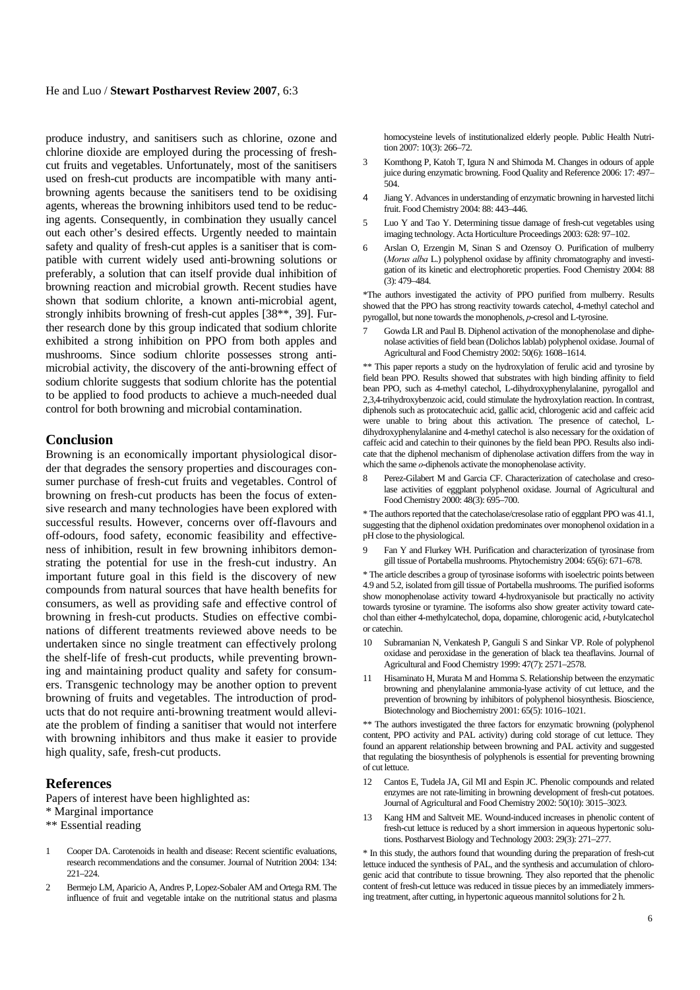#### He and Luo / **Stewart Postharvest Review 2007**, 6:3

produce industry, and sanitisers such as chlorine, ozone and chlorine dioxide are employed during the processing of freshcut fruits and vegetables. Unfortunately, most of the sanitisers used on fresh-cut products are incompatible with many antibrowning agents because the sanitisers tend to be oxidising agents, whereas the browning inhibitors used tend to be reducing agents. Consequently, in combination they usually cancel out each other's desired effects. Urgently needed to maintain safety and quality of fresh-cut apples is a sanitiser that is compatible with current widely used anti-browning solutions or preferably, a solution that can itself provide dual inhibition of browning reaction and microbial growth. Recent studies have shown that sodium chlorite, a known anti-microbial agent, strongly inhibits browning of fresh-cut apples [38\*\*, 39]. Further research done by this group indicated that sodium chlorite exhibited a strong inhibition on PPO from both apples and mushrooms. Since sodium chlorite possesses strong antimicrobial activity, the discovery of the anti-browning effect of sodium chlorite suggests that sodium chlorite has the potential to be applied to food products to achieve a much-needed dual control for both browning and microbial contamination.

#### **Conclusion**

Browning is an economically important physiological disorder that degrades the sensory properties and discourages consumer purchase of fresh-cut fruits and vegetables. Control of browning on fresh-cut products has been the focus of extensive research and many technologies have been explored with successful results. However, concerns over off-flavours and off-odours, food safety, economic feasibility and effectiveness of inhibition, result in few browning inhibitors demonstrating the potential for use in the fresh-cut industry. An important future goal in this field is the discovery of new compounds from natural sources that have health benefits for consumers, as well as providing safe and effective control of browning in fresh-cut products. Studies on effective combinations of different treatments reviewed above needs to be undertaken since no single treatment can effectively prolong the shelf-life of fresh-cut products, while preventing browning and maintaining product quality and safety for consumers. Transgenic technology may be another option to prevent browning of fruits and vegetables. The introduction of products that do not require anti-browning treatment would alleviate the problem of finding a sanitiser that would not interfere with browning inhibitors and thus make it easier to provide high quality, safe, fresh-cut products.

#### **References**

Papers of interest have been highlighted as:

- \* Marginal importance
- \*\* Essential reading
- 1 Cooper DA. Carotenoids in health and disease: Recent scientific evaluations, research recommendations and the consumer. Journal of Nutrition 2004: 134:  $221 - 224$
- 2 Bermejo LM, Aparicio A, Andres P, Lopez-Sobaler AM and Ortega RM. The influence of fruit and vegetable intake on the nutritional status and plasma

homocysteine levels of institutionalized elderly people. Public Health Nutrition 2007: 10(3): 266–72.

- 3 Komthong P, Katoh T, Igura N and Shimoda M. Changes in odours of apple juice during enzymatic browning. Food Quality and Reference 2006: 17: 497– 504.
- 4 Jiang Y. Advances in understanding of enzymatic browning in harvested litchi fruit. Food Chemistry 2004: 88: 443–446.
- 5 Luo Y and Tao Y. Determining tissue damage of fresh-cut vegetables using imaging technology. Acta Horticulture Proceedings 2003: 628: 97–102.
- 6 Arslan O, Erzengin M, Sinan S and Ozensoy O. Purification of mulberry (*Morus alba* L.) polyphenol oxidase by affinity chromatography and investigation of its kinetic and electrophoretic properties. Food Chemistry 2004: 88  $(3)$ : 479 $-484$

\*The authors investigated the activity of PPO purified from mulberry. Results showed that the PPO has strong reactivity towards catechol, 4-methyl catechol and pyrogallol, but none towards the monophenols, *p*-cresol and L-tyrosine.

7 Gowda LR and Paul B. Diphenol activation of the monophenolase and diphenolase activities of field bean (Dolichos lablab) polyphenol oxidase. Journal of Agricultural and Food Chemistry 2002: 50(6): 1608–1614.

\*\* This paper reports a study on the hydroxylation of ferulic acid and tyrosine by field bean PPO. Results showed that substrates with high binding affinity to field bean PPO, such as 4-methyl catechol, L-dihydroxyphenylalanine, pyrogallol and 2,3,4-trihydroxybenzoic acid, could stimulate the hydroxylation reaction. In contrast, diphenols such as protocatechuic acid, gallic acid, chlorogenic acid and caffeic acid were unable to bring about this activation. The presence of catechol, Ldihydroxyphenylalanine and 4-methyl catechol is also necessary for the oxidation of caffeic acid and catechin to their quinones by the field bean PPO. Results also indicate that the diphenol mechanism of diphenolase activation differs from the way in which the same *o*-diphenols activate the monophenolase activity.

8 Perez-Gilabert M and Garcia CF. Characterization of catecholase and cresolase activities of eggplant polyphenol oxidase. Journal of Agricultural and Food Chemistry 2000: 48(3): 695–700.

\* The authors reported that the catecholase/cresolase ratio of eggplant PPO was 41.1, suggesting that the diphenol oxidation predominates over monophenol oxidation in a pH close to the physiological.

9 Fan Y and Flurkey WH. Purification and characterization of tyrosinase from gill tissue of Portabella mushrooms. Phytochemistry 2004: 65(6): 671–678.

\* The article describes a group of tyrosinase isoforms with isoelectric points between 4.9 and 5.2, isolated from gill tissue of Portabella mushrooms. The purified isoforms show monophenolase activity toward 4-hydroxyanisole but practically no activity towards tyrosine or tyramine. The isoforms also show greater activity toward catechol than either 4-methylcatechol, dopa, dopamine, chlorogenic acid, *t*-butylcatechol or catechin.

- 10 Subramanian N, Venkatesh P, Ganguli S and Sinkar VP. Role of polyphenol oxidase and peroxidase in the generation of black tea theaflavins. Journal of Agricultural and Food Chemistry 1999: 47(7): 2571–2578.
- 11 Hisaminato H, Murata M and Homma S. Relationship between the enzymatic browning and phenylalanine ammonia-lyase activity of cut lettuce, and the prevention of browning by inhibitors of polyphenol biosynthesis. Bioscience, Biotechnology and Biochemistry 2001: 65(5): 1016–1021.

\*\* The authors investigated the three factors for enzymatic browning (polyphenol content, PPO activity and PAL activity) during cold storage of cut lettuce. They found an apparent relationship between browning and PAL activity and suggested that regulating the biosynthesis of polyphenols is essential for preventing browning of cut lettuce.

- 12 Cantos E, Tudela JA, Gil MI and Espin JC. Phenolic compounds and related enzymes are not rate-limiting in browning development of fresh-cut potatoes. Journal of Agricultural and Food Chemistry 2002: 50(10): 3015–3023.
- 13 Kang HM and Saltveit ME. Wound-induced increases in phenolic content of fresh-cut lettuce is reduced by a short immersion in aqueous hypertonic solutions. Postharvest Biology and Technology 2003: 29(3): 271–277.

\* In this study, the authors found that wounding during the preparation of fresh-cut lettuce induced the synthesis of PAL, and the synthesis and accumulation of chlorogenic acid that contribute to tissue browning. They also reported that the phenolic content of fresh-cut lettuce was reduced in tissue pieces by an immediately immersing treatment, after cutting, in hypertonic aqueous mannitol solutions for 2 h.